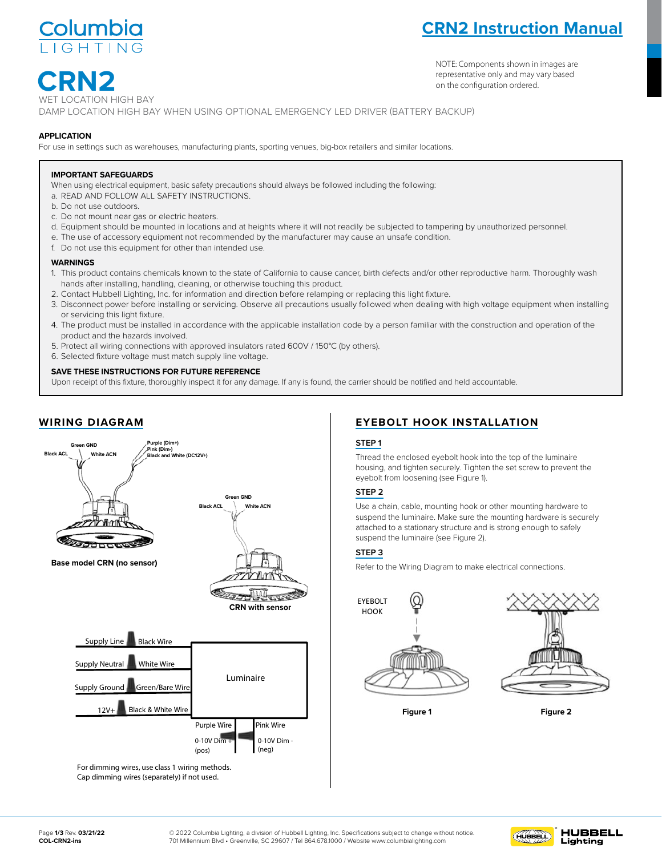

# **CRN2 Instruction Manual**

NOTE: Components shown in images are representative only and may vary based on the configuration ordered.

 **CRN2** ATION HIGH BAY WET LOCATION HIGH BAY<br>DAMP LOCATION HIGH BAY WHEN USING OPTIONAL EMERGENCY LED DRIVER (BATTERY BACKUP)

### **APPLICATION**

3. Please turn off the power before installation or maintenance.

For use in settings such as warehouses, manufacturing plants, sporting venues, big-box retailers and similar locations.<br>—

### **IMPORTANT SAFEGUARDS**

ROUND LED HIGH BAY When using electrical equipment, basic safety precautions should always be followed including the following:

- a. READ AND FOLLOW ALL SAFETY INSTRUCTIONS.
- b. Do not use outdoors.  $1.5.$  To avoid possibility of electrical shock or fire, the installation personnel must have professional electrical electrical electrical electrical electrical electrical electrical electrical electrical electrical elec
	- c. Do not mount near gas or electric heaters.
	- d. Equipment should be mounted in locations and at heights where it will not readily be subjected to tampering by unauthorized personnel.
	- e. The use of accessory equipment not recommended by the manufacturer may cause an unsafe condition.<br>E. De not use this equipment for ather than intended use.
- f. Do not use this equipment for other than intended use. **1. To avoid possibility of electrical shock or fire, the installation personnel must have professional must have professional electrical electrical electrical electrical electrical electrical electrical electrical electri**

### **WARNINGS**

- warnings<br>1. This product contains chemicals known to the state of California to cause cancer, birth defects and/or other reproductive harm. Thoroughly wash hands after installing, handling, cleaning, or otherwise touching this product.
	- rianus arter installing, nanuling, creaning, or otherwise touching this product.<br>2. Contact Hubbell Lighting, Inc. for information and direction before relamping or replacing this light fixture.
	- ning or replacing this light lixture.<br>Therally followed when dealing with high voltage equipment 3. Disconnect power before installing or servicing. Observe all precautions usually followed when dealing with high voltage equipment when installing<br>or sondeing this light fixture or servicing this light fixture.
- gnt lixture.<br>I be installed in accordance with the applicable installation code by a person familiar with the construction and operation of the construction and operation of the product and the hazards involved. or servicing this light fixture.<br>4. The product must be installed in accordance with the applicable installation code by a person familiar with the construction and operation of the product and the hazards involved.
	- product and the nazards involved.<br>5. Protect all wiring connections with approved insulators rated 600V / 150°C (by others).
	- 1. Plotect all winny connections with approved insulations<br>1. Polected fixture voltage must match supply line voltage.

# **SAVE THESE INSTRUCTIONS FOR FUTURE REFERENCE**<br>2. Please read the fully fishers the accessories are complete are complete.

and the mass measure there there to be a man difference.<br>Upon receipt of this fixture, thoroughly inspect it for any damage. If any is found, the carrier should be notified and held accountable. 6. Do not test luminaire using an electric generator before installation. After confirmation, then install the fixture according to installation steps.

# **WIRING DIAGRAM**

1. Please check if there is any damage during shipping. If so, please contact manufacturer timely.



Cap dimming wires (separately) if not used.

### Instructions: **EYEBOLT HOOK INSTALLATION**

### **STEP 1**

Intread the enclosed eyebolt hook into the top of the luminaire  $\vert$  housing, and tighten securely. Tighten the set screw to prevent the eyebolt from loosening (see Figure 1).

 $5.5.$  To reduce the risk of electrical shock and product damage, do not electrical shock and product damage, do not

## STEP 2

2. Use a chain, cable, mounting hook or other mounting hardware to Use a chain, cable, mounting hook or other mounting hardware to suspend the luminaire. Make sure the mounting hardware is securely suspend the luminaire. Make sure the mounting hardware is securely attached to a stationary structure and is strong enough to safely suspendied to a stationary structure and is strong enough to safely suspend the luminaire (see Figure 2).

### $\overline{\phantom{a}}$ **STEP 3**

lamp label !

Refer to the Wiring Diagram to make electrical connections.





As for the wire color of DIM **Figure 1 Figure 2**

+ and DIM - , pls check the

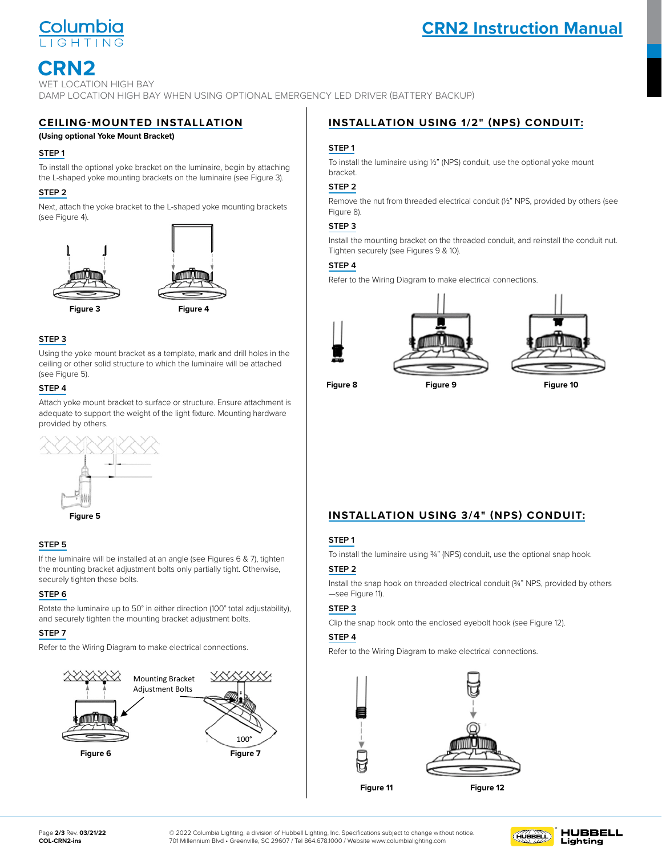

# **CRN2 Instruction Manual**

# **CRN2**

WET LOCATION HIGH BAY DAMP LOCATION HIGH BAY WHEN USING OPTIONAL EMERGENCY LED DRIVER (BATTERY BACKUP)

## **CEILING-MOUNTED INSTALLATION**

## **(Using optional Yoke Mount Bracket)**

### **STEP 1**

To install the optional yoke bracket on the luminaire, begin by attaching the L-shaped yoke mounting brackets on the luminaire (see Figure 3).

#### **STEP 2**  $STEP 2$  $\frac{\text{SIEP 2}}{n}$ 1. To install the optional younger on the luminaire, begin by attaching by attaching by attaching by attaching by attaching by attaching by attaching by attaching by attaching by attaching by attaching by attaching by atta

Next, attach the yoke bracket to the L-shaped yoke mounting brackets 2. Next, attach the yoke bracket to the L-shaped yoke mounting brackets. the L-shaped your discharacter at a shaped your mounting brackets.<br>(See Figure 4). Ceiling-Mounted Installation (using optional Yoke Mount Bracket): 1. To install the optional yoke bracket on the luminaire, begin by attaching the L-shaped yoke mounting brackets on the luminaire. (See Figure 3)





**Figure 3**



### $3.3.01$  STEP 3. **STEP 3**

Using the yoke mount bracket as a template, mark and drill holes in the  $\frac{1}{2}$  ceiling or other solid structure to which the luminaire will be attached see Figure 5).  $1.94 \text{ C}$  install the expansion screws into the drilled holes. (See Figure 1).

### **STEP 4** ceiling or other solid structure to which the luminaire will be attached. The luminaire will be attached.

provided by others. Figure 3 Figure 3 Figure 3 Figure 3 Figure 3 Figure 3 Figure 3 Figure 3 Figure 3 Figure 3 Figure 3 Figure 3 Fi<br>Time 3 Figure 3 Figure 3 Figure 3 Figure 3 Figure 3 Figure 3 Figure 3 Figure 3 Figure 3 Figure 3 Figure 3 Figur Attach yoke mount bracket to surface or structure. Ensure attachment is adequate to support the weight of the light fixture. Mounting hardware Figure 6)



#### expansion screws, and securely tighten the nuts. (See Figure 7)  $\epsilon$ **STEP 5**  $\frac{1}{\sqrt{2}}$  install the enclosed number on the yoke mounting bracket onto the yoke mounting bracket onto the young expansion screws, and securely time  $\frac{1}{2}$

the noniting bracket adjustment bolts only partially tight. Otherwise,  $\frac{6.66}{\sqrt{10}}$ If the luminaire will be installed at an angle (see Figures 6 & 7), tighten Securely tighten these bolts. 5. Using the enclosed number of the second number of the young the young bracket onto the young bracket onto the young bracket onto the young bracket onto the young bracket onto the young bracket onto the young bracket ont If the luminaire will be installed at an angle (see Figures 6 & 7), tighten mounting bracket adjustment bolts only partially tight. Otherwise,

#### in either direction (100 total adjustability), and securely tighten the securely tighten the securely tight secure  $STEP 6$ securely tighten the security of  $\mathbb{R}^n$  $$

and securely tighten the mounting bracket adjustment bolts. Rotate the luminaire up to 50° in either direction (100° total adjustability),<br>and securely tighten the mounting bracket adjustment bolts  $\overline{\text{STED 3}}$ Rotate the luminaire up to 50° in either direction (100° total adjustability),  $\begin{array}{|c|c|c|}\n\hline\n\text{STEP:} & & \text{S} & \text{S} & \text{S} & \text{S} & \text{S} & \text{S} & \text{S} & \text{S} & \text{S} & \text{S} & \text{S} & \text{S} & \text{S} & \text{S} & \text{S} & \text{S} & \text{S} & \text{S} & \text{S} & \$ mounting bracket adjustment bolts.

#### $S$ TEP 7 STEP 7 mounting bracket adjustment bolts. **STEP 7** mounting bracket and bolts.  $8.7 \times 10^{-4}$

expansive tights. The secure is setting to the Wiring Diagram to make  $\frac{1}{\sqrt{2}}$ . If the luminare will be installed at an angle  $\frac{1}{\sqrt{2}}$ mountaine Brackett and the Brackett and the Brackett and the Brackett and the Brackett and the Brackett and the Brackett and the Brackett and the Brackett and the Brackett and the Brackett and the Brackett and the Brackett 8. Refer to the Wiring Diagram to make electrical connections. Refer to the Wiring Diagram to make electrical connections. 8. Refer to the Wiring Diagram to make electrical connections.



# **INSTALLATION USING 1/2" (NPS) CONDUIT:**

### **STEP 1**

To install the luminaire using ½" (NPS) conduit, use the optional yoke mount bracket. Installation Using ½" (NPS) Conduit: Installation Using ½" (NPS) Conduit:

### **STEP 2**  $\frac{\text{SIEP 2}}{\text{SIEP 2}}$

Remove the nut from threaded electrical conduit (½" NPS, provided by others (see Figure 8). 2.Remove the nutrical conduit (½" TVFS, provided by others (\$ee  $I(X)$  and  $I(X)$  NPC, provided by  $I(X)$  and  $I(X)$ 1. The luminosity installer the later using the left with the later using the optional setting  $\Omega$ . Figure  $\Omega$ . 2.Remove the number of  $\mathcal{R}$ , provided by  $\mathcal{R}$ , provided by  $\mathcal{R}$ , provided by  $\mathcal{R}$ , provided by  $\mathcal{R}$ , provided by  $\mathcal{R}$ , provided by  $\mathcal{R}$ , provided by  $\mathcal{R}$ , provided by  $\mathcal{R}$ , provided by

### $\overline{\phantom{a}}$  STEP 3

Install the mounting bracket on the threaded conduit, and reinstall the conduit nut. metal the methining shearter on the timestable conduit, and remotell the conduit hat.<br>Tighten securely (see Figures 9 & 10).  $4.8.8 \times 10^{10}$ . Tighten securely (see Figures 9 & 10).  $3.10$ .

### **STEP 4**  $\mathsf{STEP} \cdot \mathsf{4}$

mount bracket.

**INSTERNATE:**<br>Installation Using Diagram to make electrical connections.  $\mathbf{1}_{\mathcal{M}}$  (NPS) conduit, using  $\mathbf{1}_{\mathcal{M}}$  (NPS) conduit, use the optional youth, use the optional you Refer to the Wiring Diagram to make electrical connections.



Installation Using 3/4" (NPS) Conduit:



**Figure 8**

**Figure 9 Figure 10**  $\mathbf{F}$   $\mathbf{F}$   $\mathbf{F}$   $\mathbf{F}$   $\mathbf{F}$   $\mathbf{F}$   $\mathbf{F}$   $\mathbf{F}$   $\mathbf{F}$   $\mathbf{F}$   $\mathbf{F}$   $\mathbf{F}$   $\mathbf{F}$   $\mathbf{F}$   $\mathbf{F}$   $\mathbf{F}$   $\mathbf{F}$   $\mathbf{F}$   $\mathbf{F}$   $\mathbf{F}$   $\mathbf{F}$   $\mathbf{F}$   $\mathbf{F}$   $\mathbf{F}$   $\mathbf{$ 

4.Refer to the Wiring Diagram to make electrical connections.

3.Clip the snap hook onto the enclosed eyebolt hook. (See Figure

Figure 9 Figure 10 Figure 10 Figure 10 Figure 10 Figure 2.Install the snap hook on threaded electrical conduit (¾" NPS, provided by others). (See Figure 12)

1.To install the luminaire using ¾" (NPS) conduit, use the optional

**INSTALLATION USING 3/4" (NPS) CONDUIT:** 

### **Installation USTEP 1**  $\frac{\text{SIEPI}}{\text{SIEPI}}$  $4.87774$

snap hook.

 $\overline{1}$ 

tighten To install the luminaire using 3/4" (NPS) conduit, use the optional snap hook.

### | **STEP 2**

Install the snap hook on threaded electrical conduit (¾" NPS, provided by others motal the only neck on this sadde on<br>
—see Figure 11).

### **STEP 3**  $\overline{\phantom{a}}$  STEP 3.

13)

Clip the snap hook onto the enclosed eyebolt hook (see Figure 12).

### **STEP 4**  $\frac{1}{\sqrt{2}}$

Refer to the Wiring Diagram to make electrical connections.



100°

© 2022 Columbia Lighting, a division of Hubbell Lighting, Inc. Specifications subject to change without notice. 701 Millennium Blvd • Greenville, SC 29607 / Tel 864.678.1000 / Website www.columbialighting.com